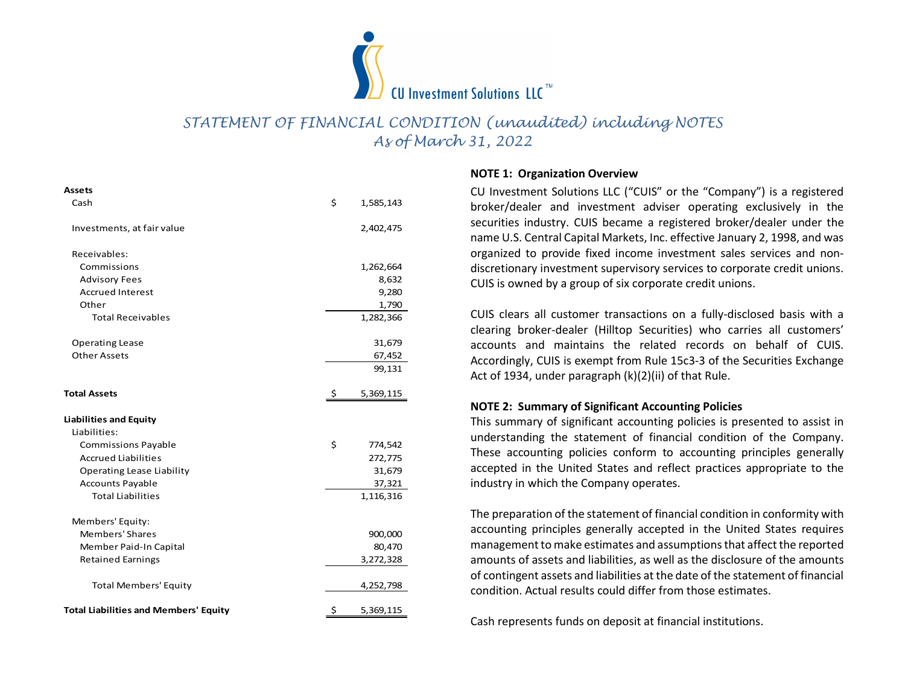

# STATEMENT OF FINANCIAL CONDITION (unaudited) including NOTES As of March 31, 2022

# Assets

|                               |                 | CU Investment Solutions $LLC^{\pi}$                                                                                |
|-------------------------------|-----------------|--------------------------------------------------------------------------------------------------------------------|
|                               |                 | STATEMENT OF FINANCIAL CONDITION (unaudited) including NOTES<br>As of March 31, 2022                               |
|                               |                 | <b>NOTE 1: Organization Overview</b>                                                                               |
| Assets                        |                 | CU Investment Solutions LLC ("CUIS" or the "Company                                                                |
| Cash                          | \$<br>1,585,143 | broker/dealer and investment adviser operating e                                                                   |
| Investments, at fair value    | 2,402,475       | securities industry. CUIS became a registered broker/<br>name U.S. Central Capital Markets, Inc. effective January |
| Receivables:                  |                 | organized to provide fixed income investment sales a                                                               |
| Commissions                   | 1,262,664       | discretionary investment supervisory services to corpor                                                            |
| Advisory Fees                 | 8,632           | CUIS is owned by a group of six corporate credit unions                                                            |
| <b>Accrued Interest</b>       | 9,280           |                                                                                                                    |
| Other                         | 1,790           | CUIS clears all customer transactions on a fully-discle                                                            |
| <b>Total Receivables</b>      | 1,282,366       | clearing broker-dealer (Hilltop Securities) who carrio                                                             |
| <b>Operating Lease</b>        | 31,679          | accounts and maintains the related records on                                                                      |
| <b>Other Assets</b>           | 67,452          | Accordingly, CUIS is exempt from Rule 15c3-3 of the Se                                                             |
|                               | 99,131          | Act of 1934, under paragraph (k)(2)(ii) of that Rule.                                                              |
|                               |                 |                                                                                                                    |
| <b>Total Assets</b>           | 5,369,115       | <b>NOTE 2: Summary of Significant Accounting Policies</b>                                                          |
| <b>Liabilities and Equity</b> |                 |                                                                                                                    |
| Liabilities:                  |                 | This summary of significant accounting policies is pres                                                            |
| Commissions Payable           | \$<br>774,542   | understanding the statement of financial condition                                                                 |
| <b>Accrued Liabilities</b>    | 272,775         | These accounting policies conform to accounting pr                                                                 |
| Operating Lease Liability     | 31,679          | accepted in the United States and reflect practices a                                                              |
| <b>Accounts Payable</b>       | 37,321          | industry in which the Company operates.                                                                            |
| <b>Total Liabilities</b>      | 1,116,316       |                                                                                                                    |
| Members' Equity:              |                 | The preparation of the statement of financial condition i                                                          |
| Members' Shares               | 900,000         | accounting principles generally accepted in the Unite                                                              |
| Member Paid-In Capital        | 80,470          | management to make estimates and assumptions that a                                                                |
| <b>Retained Earnings</b>      | 3,272,328       | amounts of assets and liabilities, as well as the disclosu                                                         |
|                               |                 | of contingent assets and liabilities at the date of the stat                                                       |
| <b>Total Members' Equity</b>  | 4,252,798       | condition. Actual results could differ from those estima                                                           |
|                               |                 |                                                                                                                    |

## NOTE 1: Organization Overview

CU Investment Solutions LLC ("CUIS" or the "Company") is a registered broker/dealer and investment adviser operating exclusively in the securities industry. CUIS became a registered broker/dealer under the name U.S. Central Capital Markets, Inc. effective January 2, 1998, and was organized to provide fixed income investment sales services and nondiscretionary investment supervisory services to corporate credit unions. Commissions 1,262,664 CUIS is owned by a group of six corporate credit unions.

> CUIS clears all customer transactions on a fully-disclosed basis with a clearing broker-dealer (Hilltop Securities) who carries all customers' accounts and maintains the related records on behalf of CUIS. Accordingly, CUIS is exempt from Rule 15c3-3 of the Securities Exchange 99,131 Chroningry, colors exempt non nate 1565 5 of the paragraph (k)(2)(ii) of that Rule.

# NOTE 2: Summary of Significant Accounting Policies

This summary of significant accounting policies is presented to assist in understanding the statement of financial condition of the Company. These accounting policies conform to accounting principles generally accepted in the United States and reflect practices appropriate to the industry in which the Company operates.

The preparation of the statement of financial condition in conformity with accounting principles generally accepted in the United States requires management to make estimates and assumptions that affect the reported amounts of assets and liabilities, as well as the disclosure of the amounts of contingent assets and liabilities at the date of the statement of financial condition. Actual results could differ from those estimates.